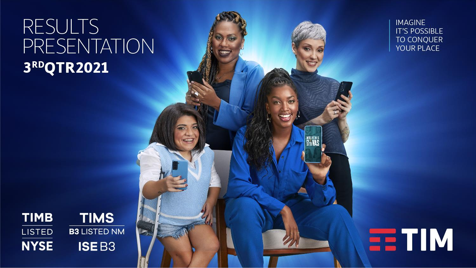# **RESULTS PRESENTATION** 3RDQTR2021







Classificado como Confidencial

**NULHERES** 

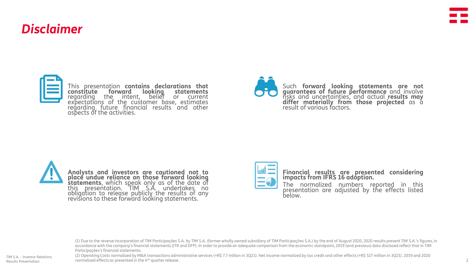# *Disclaimer*



This presentation **contains declarations that constitute forward looking statements** regarding the intent, belief or current expectations of the customer base, estimates regarding future financial results and other aspects of the activities.





**Analysts and investors are cautioned not to place undue reliance on those forward looking statements**, which speak only as of the date of this presentation. TIM S.A. undertakes no obligation to release publicly the results of any revisions to these forward looking statements.



**Financial results are presented considering impacts from IFRS 16 adoption.**

The normalized numbers reported in this presentation are adjusted by the effects listed below.

(1) Due to the reverse incorporation of TIM Participações S.A. by TIM S.A. (former wholly owned subsidiary of TIM Participações S.A.) by the end of August 2020, 2020 results present TIM S.A.'s figures, in accordance with the company's financial statements (ITR and DFP). In order to provide an adequate comparison from the economic standpoint, 2019 (and previous) data disclosed reflect that in TIM Participações's financial statements.

(2) Operating Costs normalized by M&A transactions administrative services (+R\$ 7.7 million in 3Q21). Net income normalized by tax credit and other effects (+R\$ 527 million in 3Q21). 2019 and 2020 normalized effects as presented in the 4th quarter release.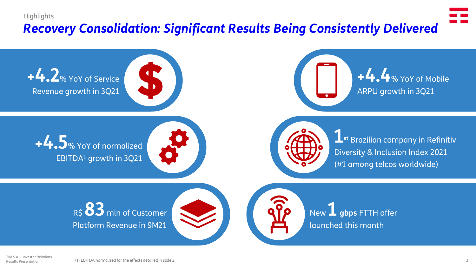### **Highlights**

# *Recovery Consolidation: Significant Results Being Consistently Delivered*

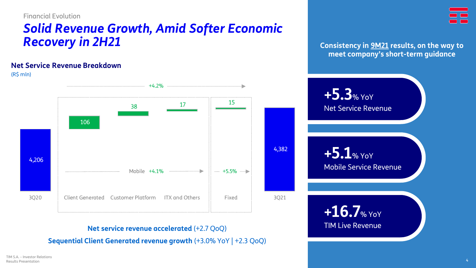Financial Evolution

# *Solid Revenue Growth, Amid Softer Economic Recovery in 2H21*

### **Net Service Revenue Breakdown**

(R\$ mln)



**Consistency in 9M21 results, on the way to meet company's short-term guidance**



# **Net service revenue accelerated** (+2.7 QoQ)

**Sequential Client Generated revenue growth** (+3.0% YoY | +2.3 QoQ)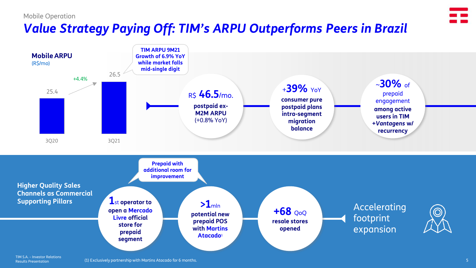#### Mobile Operation

# *Value Strategy Paying Off: TIM's ARPU Outperforms Peers in Brazil*



Results Presentation

(1) Exclusively partnership with Martins Atacado for 6 months.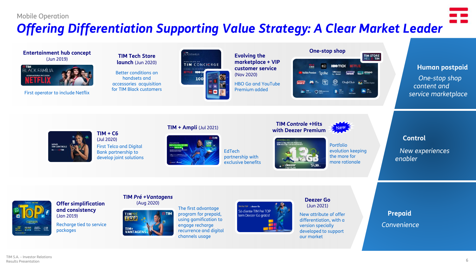### Mobile Operation

# *Offering Differentiation Supporting Value Strategy: A Clear Market Leader*

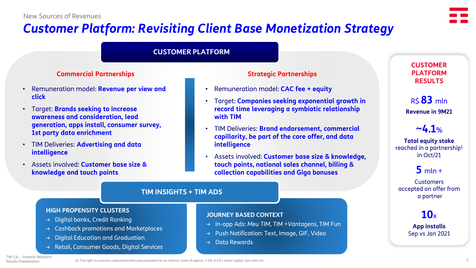# *Customer Platform: Revisiting Client Base Monetization Strategy*



## **CUSTOMER PLATFORM**

### **Commercial Partnerships Strategic Partnerships**

- Remuneration model: **Revenue per view and click**
- Target: **Brands seeking to increase awareness and consideration, lead generation, apps install, consumer survey, 1st party data enrichment**
- TIM Deliveries: **Advertising and data intelligence**
- Assets involved: **Customer base size & knowledge and touch points**

• Remuneration model: **CAC fee + equity**

**JOURNEY BASED CONTEXT**

→ Data Rewards

- Target: **Companies seeking exponential growth in record time leveraging a symbiotic relationship with TIM**
- TIM Deliveries: **Brand endorsement, commercial capillarity, be part of the core offer, and data intelligence**
- Assets involved: **Customer base size & knowledge, touch points, national sales channel, billing & collection capabilities and Giga bonuses**

→ In-app Ads: *Meu TIM*, TIM *+Vantagens*, TIM Fun → Push Notification: Text, Image, GIF, Video

### **CUSTOMER PLATFORM RESULTS**

R\$ **83** mln **Revenue in 9M21**

# $\sim$ **4.1**%

**Total equity stake** reached in a partnership<sup>1</sup> in Oct/21

# $5$  mln +

**Customers** accepted an offer from a partner

# **10**<sup>x</sup>

**App installs** Sep vs Jan 2021

## **TIM INSIGHTS + TIM ADS**

### **HIGH PROPENSITY CLUSTERS**

- → Digital banks, Credit Ranking
- → Cashback promotions and Marketplaces
- → Digital Education and Graduation
- Retail, Consumer Goods, Digital Services

TIM S.A. – Investor Relations Results Presentation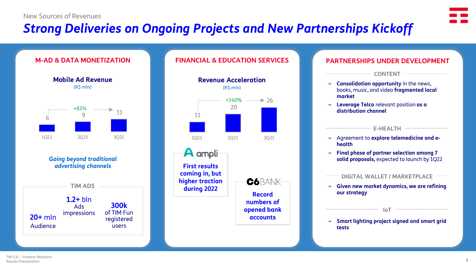# *Strong Deliveries on Ongoing Projects and New Partnerships Kickoff*





### **FINANCIAL & EDUCATION SERVICES PARTNERSHIPS UNDER DEVELOPMENT**



# → **Consolidation opportunity** in the news, books, music, and video **fragmented local market CONTENT**

**Leverage Telco** relevant position as a **distribution channel**

# **E-HEALTH**

- → Agreement to **explore telemedicine and ehealth**
- **Final phase of partner selection among 7 solid proposals,** expected to launch by 1Q22

**DIGITAL WALLET / MARKETPLACE**

- → **Given new market dynamics, we are refining our strategy**
- → **Smart lighting project signed and smart grid tests**

**IoT IoT IoT IoT IOT IOT IOT IOT IOT IOT IOT IOT IOT IOT IOT IOT IOT IOT IOT IOT IOT IOT IOT IOT IOT IOT IOT IOT IOT IOT IOT IOT IOT IOT IOT IOT IOT**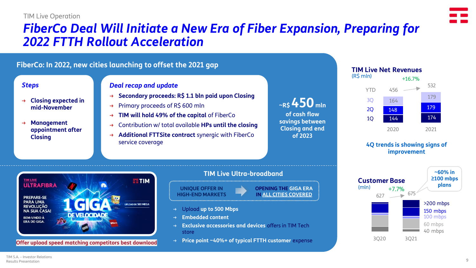### TIM Live Operation

# *FiberCo Deal Will Initiate a New Era of Fiber Expansion, Preparing for 2022 FTTH Rollout Acceleration*

# **FiberCo: In 2022, new cities launching to offset the 2021 gap**

### *Steps*

- → **Closing expected in mid-November**
- → **Management appointment after Closing**

### *Deal recap and update*

- → **Secondary proceeds: R\$ 1.1 bln paid upon Closing**
- → Primary proceeds of R\$ 600 mln
- → **TIM will hold 49% of the capital** of FiberCo
- → Contribution w/ total available **HPs until the closing**
- → **Additional FTTSite contract** synergic with FiberCo service coverage

| $\sim$ RS 450 mln      |
|------------------------|
| of cash flow           |
| savings between        |
| <b>Closing and end</b> |
| of 2023                |



### **4Q trends is showing signs of improvement**





**Offer upload speed matching competitors best download**

# **TIM Live Ultra-broadband**

**UNIQUE OFFER IN HIGH-END MARKETS**

#### **OPENING THE GIGA ERA IN ALL CITIES COVERED**

- → Upload **up to 500 Mbps**
- → **Embedded content**
- → **Exclusive accessories and devices** offers in TIM Tech store
- **Price point ~40%+ of typical FTTH customer expense**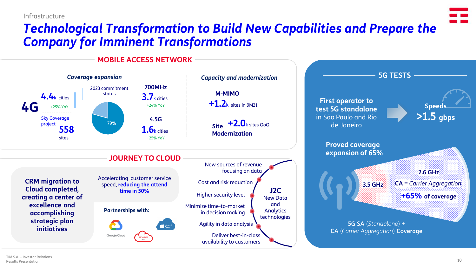#### Infrastructure

# *Technological Transformation to Build New Capabilities and Prepare the Company for Imminent Transformations*

**MOBILE ACCESS NETWORK**

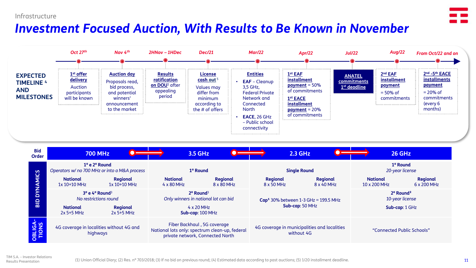### Infrastructure

# *Investment Focused Auction, With Results to Be Known in November*



| മ             | <b>National</b><br>2x 5+5 MHz                        | <u>NU ICSUILUUIS IUUIIU</u><br>Regional<br>$2x$ 5+5 MHz | <u>Universities in Hutional lot can bid</u><br>$4 \times 20$ MHz<br>$Sub-cap: 100 MHz$                            | <b>Cap</b> $30\%$ between 1-3 GHz = 199.5 MHz<br>Sub-cap: 50 MHz | TO YOU INCLISE<br>Sub-cap: 1 GHz |
|---------------|------------------------------------------------------|---------------------------------------------------------|-------------------------------------------------------------------------------------------------------------------|------------------------------------------------------------------|----------------------------------|
| <b>PELIGA</b> | 4G coverage in localities without 4G and<br>highways |                                                         | Fiber Backhaul, 5G coverage<br>National lots only: spectrum clean-up, federal<br>private network, Connected North | 4G coverage in municipalities and localities<br>without 4G       | "Connected Public Schools"       |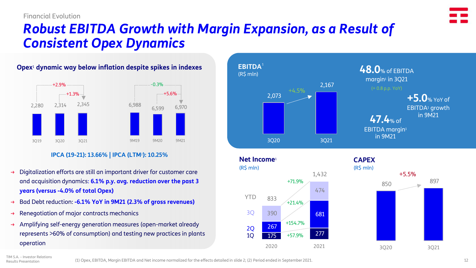

# *Robust EBITDA Growth with Margin Expansion, as a Result of Consistent Opex Dynamics*

# **Opex**<sup>1</sup> **dynamic way below inflation despite spikes in indexes**



### **IPCA (19-21): 13.66% | IPCA (LTM**2**): 10.25%**

- → Digitalization efforts are still an important driver for customer care +5.5% and acquisition dynamics: **6.1% p.y. avg. reduction over the past 3 years (versus -4.0% of total Opex)**
- → Bad Debt reduction: **-6.1% YoY in 9M21 (2.3% of gross revenues)**
- $\rightarrow$  Renegotiation of major contracts mechanics
- → Amplifying self-energy generation measures (open-market already represents >60% of consumption) and testing new practices in plants operation







TIM S.A. – Investor Relations Results Presentation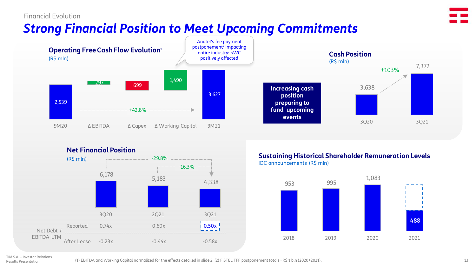### Financial Evolution

# *Strong Financial Position to Meet Upcoming Commitments*



#### **Net Financial Position** (R\$ mln) -29.8%  $-16.3%$  $\begin{array}{@{}c@{\hspace{1em}}c@{\hspace{1em}}c@{\hspace{1em}}c@{\hspace{1em}}c@{\hspace{1em}}c@{\hspace{1em}}c@{\hspace{1em}}c@{\hspace{1em}}c@{\hspace{1em}}c@{\hspace{1em}}c@{\hspace{1em}}c@{\hspace{1em}}c@{\hspace{1em}}c@{\hspace{1em}}c@{\hspace{1em}}c@{\hspace{1em}}c@{\hspace{1em}}c@{\hspace{1em}}c@{\hspace{1em}}c@{\hspace{1em}}c@{\hspace{1em}}c@{\hspace{1em}}c@{\hspace{1em}}c@{\hspace{$ 3Q20 2Q21 3Q21  $\epsilon = -$ Reported  $10.50x$ 0.74x 0.60x Net Debt / EBITDA LTM After Lease -0.23x -0.44x -0.58x

#### IOC announcements (R\$ mln) **Sustaining Historical Shareholder Remuneration Levels**